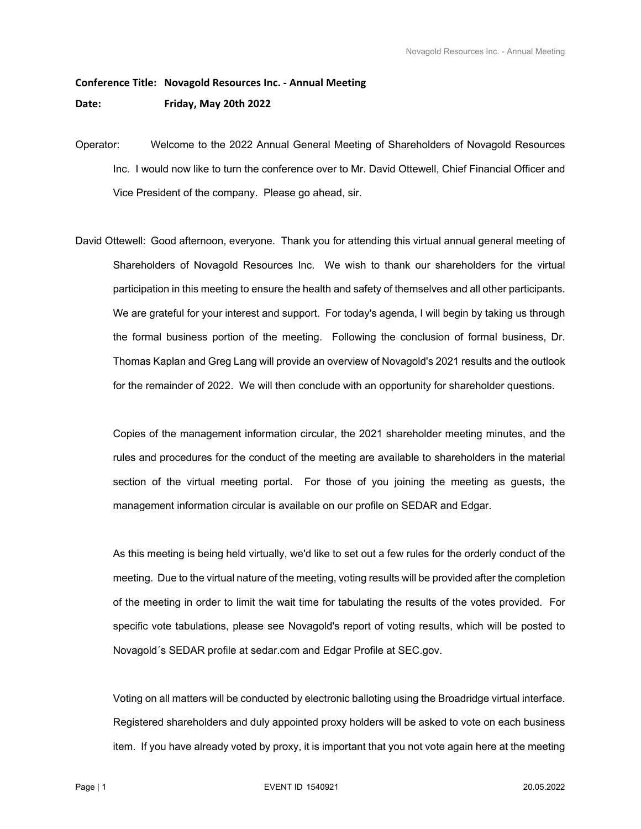## **Conference Title: Novagold Resources Inc. ‐ Annual Meeting Date: Friday, May 20th 2022**

- Operator: Welcome to the 2022 Annual General Meeting of Shareholders of Novagold Resources Inc. I would now like to turn the conference over to Mr. David Ottewell, Chief Financial Officer and Vice President of the company. Please go ahead, sir.
- David Ottewell: Good afternoon, everyone. Thank you for attending this virtual annual general meeting of Shareholders of Novagold Resources Inc. We wish to thank our shareholders for the virtual participation in this meeting to ensure the health and safety of themselves and all other participants. We are grateful for your interest and support. For today's agenda, I will begin by taking us through the formal business portion of the meeting. Following the conclusion of formal business, Dr. Thomas Kaplan and Greg Lang will provide an overview of Novagold's 2021 results and the outlook for the remainder of 2022. We will then conclude with an opportunity for shareholder questions.

 Copies of the management information circular, the 2021 shareholder meeting minutes, and the rules and procedures for the conduct of the meeting are available to shareholders in the material section of the virtual meeting portal. For those of you joining the meeting as guests, the management information circular is available on our profile on SEDAR and Edgar.

 As this meeting is being held virtually, we'd like to set out a few rules for the orderly conduct of the meeting. Due to the virtual nature of the meeting, voting results will be provided after the completion of the meeting in order to limit the wait time for tabulating the results of the votes provided. For specific vote tabulations, please see Novagold's report of voting results, which will be posted to Novagold´s SEDAR profile at sedar.com and Edgar Profile at SEC.gov.

 Voting on all matters will be conducted by electronic balloting using the Broadridge virtual interface. Registered shareholders and duly appointed proxy holders will be asked to vote on each business item. If you have already voted by proxy, it is important that you not vote again here at the meeting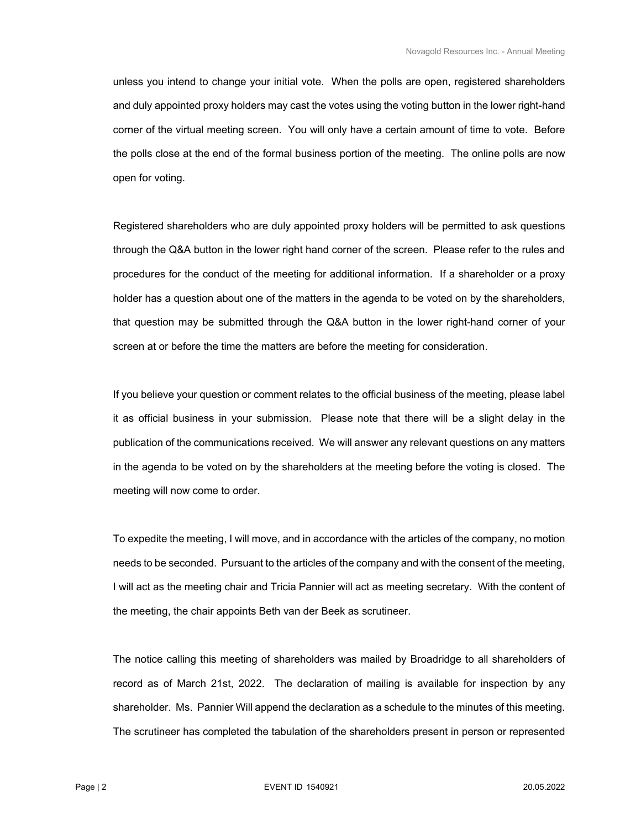unless you intend to change your initial vote. When the polls are open, registered shareholders and duly appointed proxy holders may cast the votes using the voting button in the lower right-hand corner of the virtual meeting screen. You will only have a certain amount of time to vote. Before the polls close at the end of the formal business portion of the meeting. The online polls are now open for voting.

 Registered shareholders who are duly appointed proxy holders will be permitted to ask questions through the Q&A button in the lower right hand corner of the screen. Please refer to the rules and procedures for the conduct of the meeting for additional information. If a shareholder or a proxy holder has a question about one of the matters in the agenda to be voted on by the shareholders, that question may be submitted through the Q&A button in the lower right-hand corner of your screen at or before the time the matters are before the meeting for consideration.

 If you believe your question or comment relates to the official business of the meeting, please label it as official business in your submission. Please note that there will be a slight delay in the publication of the communications received. We will answer any relevant questions on any matters in the agenda to be voted on by the shareholders at the meeting before the voting is closed. The meeting will now come to order.

 To expedite the meeting, I will move, and in accordance with the articles of the company, no motion needs to be seconded. Pursuant to the articles of the company and with the consent of the meeting, I will act as the meeting chair and Tricia Pannier will act as meeting secretary. With the content of the meeting, the chair appoints Beth van der Beek as scrutineer.

 The notice calling this meeting of shareholders was mailed by Broadridge to all shareholders of record as of March 21st, 2022. The declaration of mailing is available for inspection by any shareholder. Ms. Pannier Will append the declaration as a schedule to the minutes of this meeting. The scrutineer has completed the tabulation of the shareholders present in person or represented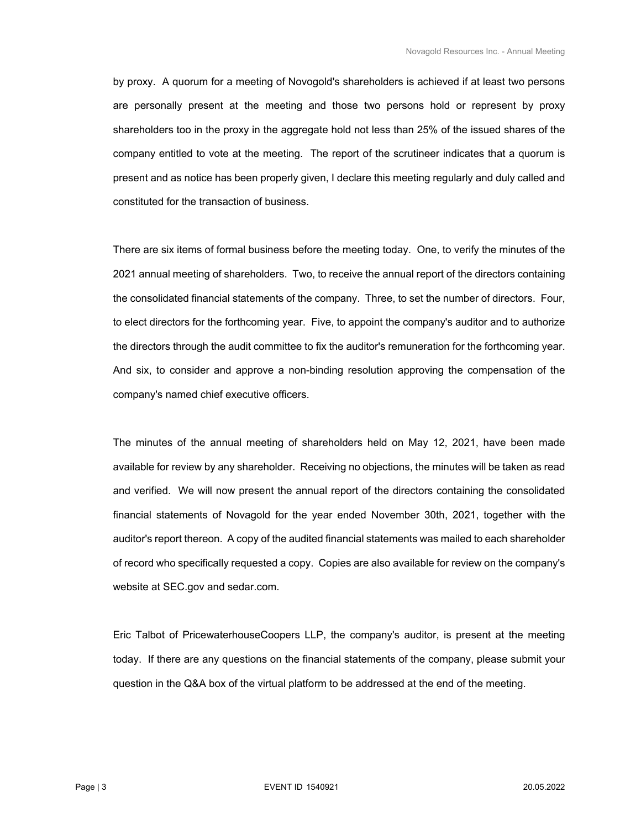by proxy. A quorum for a meeting of Novogold's shareholders is achieved if at least two persons are personally present at the meeting and those two persons hold or represent by proxy shareholders too in the proxy in the aggregate hold not less than 25% of the issued shares of the company entitled to vote at the meeting. The report of the scrutineer indicates that a quorum is present and as notice has been properly given, I declare this meeting regularly and duly called and constituted for the transaction of business.

 There are six items of formal business before the meeting today. One, to verify the minutes of the 2021 annual meeting of shareholders. Two, to receive the annual report of the directors containing the consolidated financial statements of the company. Three, to set the number of directors. Four, to elect directors for the forthcoming year. Five, to appoint the company's auditor and to authorize the directors through the audit committee to fix the auditor's remuneration for the forthcoming year. And six, to consider and approve a non-binding resolution approving the compensation of the company's named chief executive officers.

 The minutes of the annual meeting of shareholders held on May 12, 2021, have been made available for review by any shareholder. Receiving no objections, the minutes will be taken as read and verified. We will now present the annual report of the directors containing the consolidated financial statements of Novagold for the year ended November 30th, 2021, together with the auditor's report thereon. A copy of the audited financial statements was mailed to each shareholder of record who specifically requested a copy. Copies are also available for review on the company's website at SEC.gov and sedar.com.

 Eric Talbot of PricewaterhouseCoopers LLP, the company's auditor, is present at the meeting today. If there are any questions on the financial statements of the company, please submit your question in the Q&A box of the virtual platform to be addressed at the end of the meeting.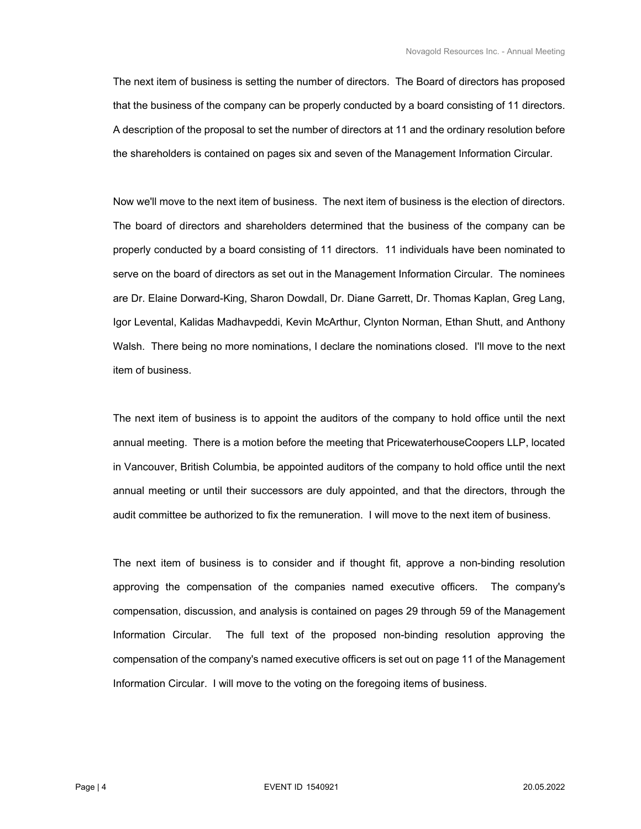The next item of business is setting the number of directors. The Board of directors has proposed that the business of the company can be properly conducted by a board consisting of 11 directors. A description of the proposal to set the number of directors at 11 and the ordinary resolution before the shareholders is contained on pages six and seven of the Management Information Circular.

 Now we'll move to the next item of business. The next item of business is the election of directors. The board of directors and shareholders determined that the business of the company can be properly conducted by a board consisting of 11 directors. 11 individuals have been nominated to serve on the board of directors as set out in the Management Information Circular. The nominees are Dr. Elaine Dorward-King, Sharon Dowdall, Dr. Diane Garrett, Dr. Thomas Kaplan, Greg Lang, Igor Levental, Kalidas Madhavpeddi, Kevin McArthur, Clynton Norman, Ethan Shutt, and Anthony Walsh. There being no more nominations, I declare the nominations closed. I'll move to the next item of business.

 The next item of business is to appoint the auditors of the company to hold office until the next annual meeting. There is a motion before the meeting that PricewaterhouseCoopers LLP, located in Vancouver, British Columbia, be appointed auditors of the company to hold office until the next annual meeting or until their successors are duly appointed, and that the directors, through the audit committee be authorized to fix the remuneration. I will move to the next item of business.

 The next item of business is to consider and if thought fit, approve a non-binding resolution approving the compensation of the companies named executive officers. The company's compensation, discussion, and analysis is contained on pages 29 through 59 of the Management Information Circular. The full text of the proposed non-binding resolution approving the compensation of the company's named executive officers is set out on page 11 of the Management Information Circular. I will move to the voting on the foregoing items of business.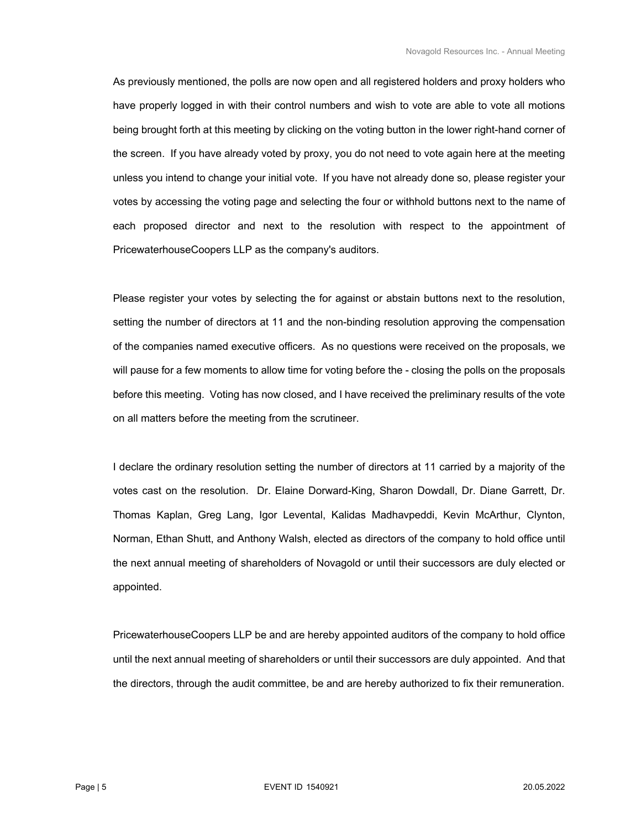As previously mentioned, the polls are now open and all registered holders and proxy holders who have properly logged in with their control numbers and wish to vote are able to vote all motions being brought forth at this meeting by clicking on the voting button in the lower right-hand corner of the screen. If you have already voted by proxy, you do not need to vote again here at the meeting unless you intend to change your initial vote. If you have not already done so, please register your votes by accessing the voting page and selecting the four or withhold buttons next to the name of each proposed director and next to the resolution with respect to the appointment of PricewaterhouseCoopers LLP as the company's auditors.

 Please register your votes by selecting the for against or abstain buttons next to the resolution, setting the number of directors at 11 and the non-binding resolution approving the compensation of the companies named executive officers. As no questions were received on the proposals, we will pause for a few moments to allow time for voting before the - closing the polls on the proposals before this meeting. Voting has now closed, and I have received the preliminary results of the vote on all matters before the meeting from the scrutineer.

 I declare the ordinary resolution setting the number of directors at 11 carried by a majority of the votes cast on the resolution. Dr. Elaine Dorward-King, Sharon Dowdall, Dr. Diane Garrett, Dr. Thomas Kaplan, Greg Lang, Igor Levental, Kalidas Madhavpeddi, Kevin McArthur, Clynton, Norman, Ethan Shutt, and Anthony Walsh, elected as directors of the company to hold office until the next annual meeting of shareholders of Novagold or until their successors are duly elected or appointed.

 PricewaterhouseCoopers LLP be and are hereby appointed auditors of the company to hold office until the next annual meeting of shareholders or until their successors are duly appointed. And that the directors, through the audit committee, be and are hereby authorized to fix their remuneration.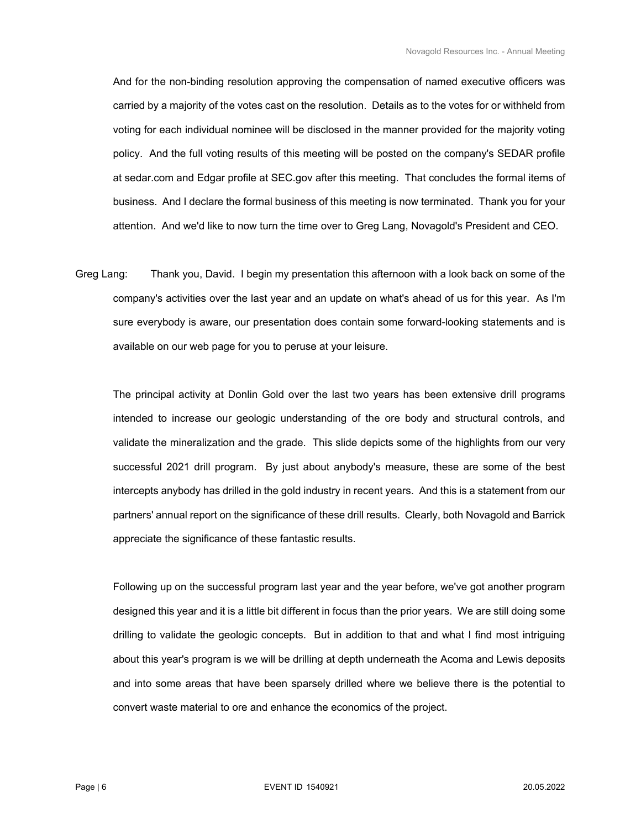And for the non-binding resolution approving the compensation of named executive officers was carried by a majority of the votes cast on the resolution. Details as to the votes for or withheld from voting for each individual nominee will be disclosed in the manner provided for the majority voting policy. And the full voting results of this meeting will be posted on the company's SEDAR profile at sedar.com and Edgar profile at SEC.gov after this meeting. That concludes the formal items of business. And I declare the formal business of this meeting is now terminated. Thank you for your attention. And we'd like to now turn the time over to Greg Lang, Novagold's President and CEO.

Greg Lang: Thank you, David. I begin my presentation this afternoon with a look back on some of the company's activities over the last year and an update on what's ahead of us for this year. As I'm sure everybody is aware, our presentation does contain some forward-looking statements and is available on our web page for you to peruse at your leisure.

 The principal activity at Donlin Gold over the last two years has been extensive drill programs intended to increase our geologic understanding of the ore body and structural controls, and validate the mineralization and the grade. This slide depicts some of the highlights from our very successful 2021 drill program. By just about anybody's measure, these are some of the best intercepts anybody has drilled in the gold industry in recent years. And this is a statement from our partners' annual report on the significance of these drill results. Clearly, both Novagold and Barrick appreciate the significance of these fantastic results.

 Following up on the successful program last year and the year before, we've got another program designed this year and it is a little bit different in focus than the prior years. We are still doing some drilling to validate the geologic concepts. But in addition to that and what I find most intriguing about this year's program is we will be drilling at depth underneath the Acoma and Lewis deposits and into some areas that have been sparsely drilled where we believe there is the potential to convert waste material to ore and enhance the economics of the project.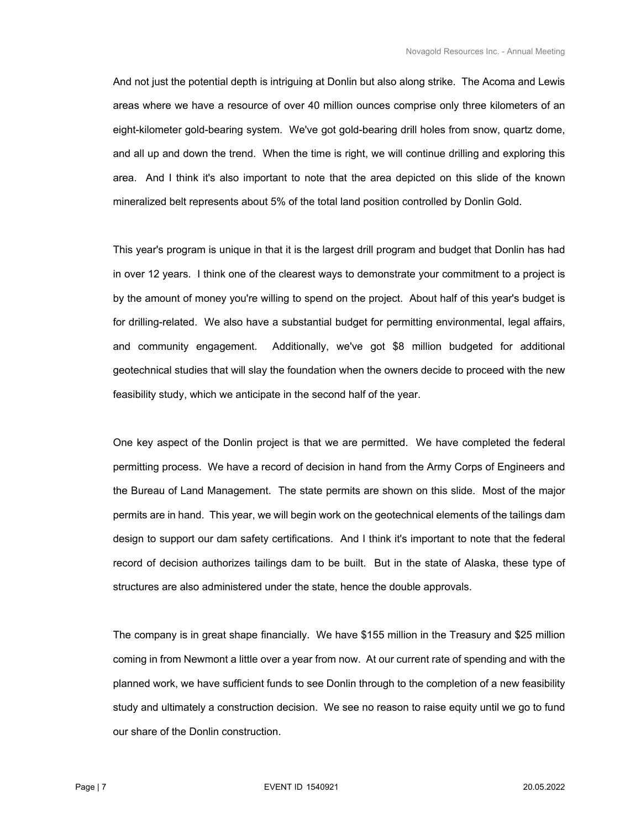And not just the potential depth is intriguing at Donlin but also along strike. The Acoma and Lewis areas where we have a resource of over 40 million ounces comprise only three kilometers of an eight-kilometer gold-bearing system. We've got gold-bearing drill holes from snow, quartz dome, and all up and down the trend. When the time is right, we will continue drilling and exploring this area. And I think it's also important to note that the area depicted on this slide of the known mineralized belt represents about 5% of the total land position controlled by Donlin Gold.

 This year's program is unique in that it is the largest drill program and budget that Donlin has had in over 12 years. I think one of the clearest ways to demonstrate your commitment to a project is by the amount of money you're willing to spend on the project. About half of this year's budget is for drilling-related. We also have a substantial budget for permitting environmental, legal affairs, and community engagement. Additionally, we've got \$8 million budgeted for additional geotechnical studies that will slay the foundation when the owners decide to proceed with the new feasibility study, which we anticipate in the second half of the year.

 One key aspect of the Donlin project is that we are permitted. We have completed the federal permitting process. We have a record of decision in hand from the Army Corps of Engineers and the Bureau of Land Management. The state permits are shown on this slide. Most of the major permits are in hand. This year, we will begin work on the geotechnical elements of the tailings dam design to support our dam safety certifications. And I think it's important to note that the federal record of decision authorizes tailings dam to be built. But in the state of Alaska, these type of structures are also administered under the state, hence the double approvals.

 The company is in great shape financially. We have \$155 million in the Treasury and \$25 million coming in from Newmont a little over a year from now. At our current rate of spending and with the planned work, we have sufficient funds to see Donlin through to the completion of a new feasibility study and ultimately a construction decision. We see no reason to raise equity until we go to fund our share of the Donlin construction.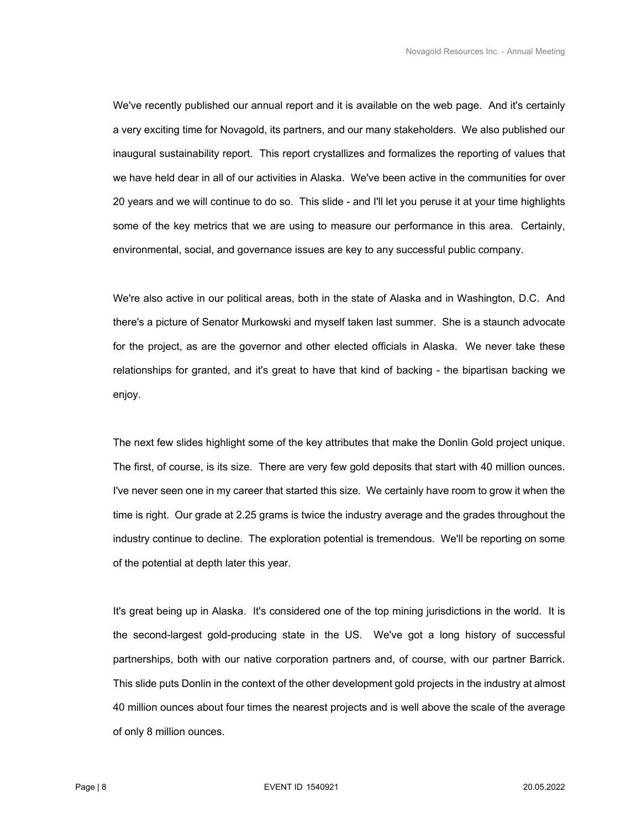We've recently published our annual report and it is available on the web page. And it's certainly a very exciting time for Novagold, its partners, and our many stakeholders. We also published our inaugural sustainability report. This report crystallizes and formalizes the reporting of values that we have held dear in all of our activities in Alaska. We've been active in the communities for over 20 years and we will continue to do so. This slide - and I'll let you peruse it at your time highlights some of the key metrics that we are using to measure our performance in this area. Certainly, environmental, social, and governance issues are key to any successful public company.

 We're also active in our political areas, both in the state of Alaska and in Washington, D.C. And there's a picture of Senator Murkowski and myself taken last summer. She is a staunch advocate for the project, as are the governor and other elected officials in Alaska. We never take these relationships for granted, and it's great to have that kind of backing - the bipartisan backing we enjoy.

 The next few slides highlight some of the key attributes that make the Donlin Gold project unique. The first, of course, is its size. There are very few gold deposits that start with 40 million ounces. I've never seen one in my career that started this size. We certainly have room to grow it when the time is right. Our grade at 2.25 grams is twice the industry average and the grades throughout the industry continue to decline. The exploration potential is tremendous. We'll be reporting on some of the potential at depth later this year.

 It's great being up in Alaska. It's considered one of the top mining jurisdictions in the world. It is the second-largest gold-producing state in the US. We've got a long history of successful partnerships, both with our native corporation partners and, of course, with our partner Barrick. This slide puts Donlin in the context of the other development gold projects in the industry at almost 40 million ounces about four times the nearest projects and is well above the scale of the average of only 8 million ounces.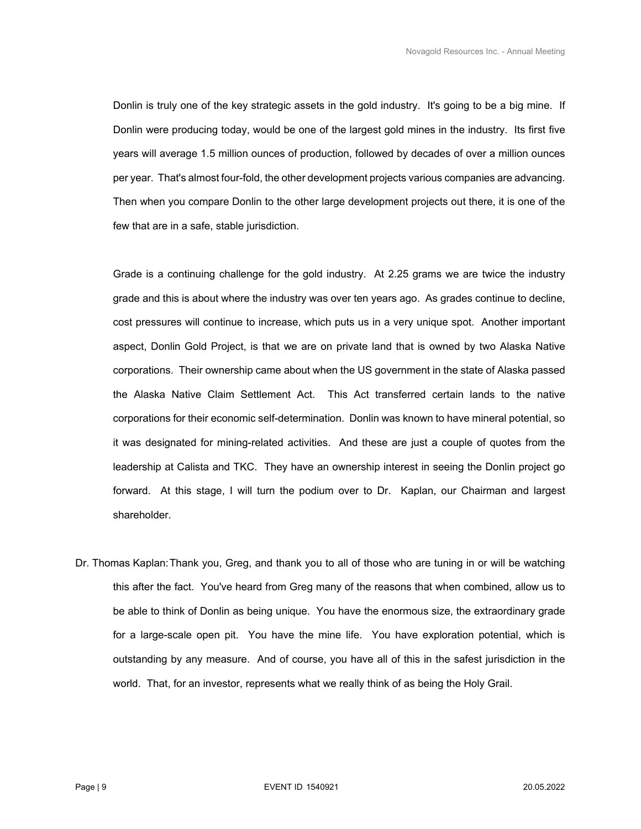Donlin is truly one of the key strategic assets in the gold industry. It's going to be a big mine. If Donlin were producing today, would be one of the largest gold mines in the industry. Its first five years will average 1.5 million ounces of production, followed by decades of over a million ounces per year. That's almost four-fold, the other development projects various companies are advancing. Then when you compare Donlin to the other large development projects out there, it is one of the few that are in a safe, stable jurisdiction.

 Grade is a continuing challenge for the gold industry. At 2.25 grams we are twice the industry grade and this is about where the industry was over ten years ago. As grades continue to decline, cost pressures will continue to increase, which puts us in a very unique spot. Another important aspect, Donlin Gold Project, is that we are on private land that is owned by two Alaska Native corporations. Their ownership came about when the US government in the state of Alaska passed the Alaska Native Claim Settlement Act. This Act transferred certain lands to the native corporations for their economic self-determination. Donlin was known to have mineral potential, so it was designated for mining-related activities. And these are just a couple of quotes from the leadership at Calista and TKC. They have an ownership interest in seeing the Donlin project go forward. At this stage, I will turn the podium over to Dr. Kaplan, our Chairman and largest shareholder.

Dr. Thomas Kaplan: Thank you, Greg, and thank you to all of those who are tuning in or will be watching this after the fact. You've heard from Greg many of the reasons that when combined, allow us to be able to think of Donlin as being unique. You have the enormous size, the extraordinary grade for a large-scale open pit. You have the mine life. You have exploration potential, which is outstanding by any measure. And of course, you have all of this in the safest jurisdiction in the world. That, for an investor, represents what we really think of as being the Holy Grail.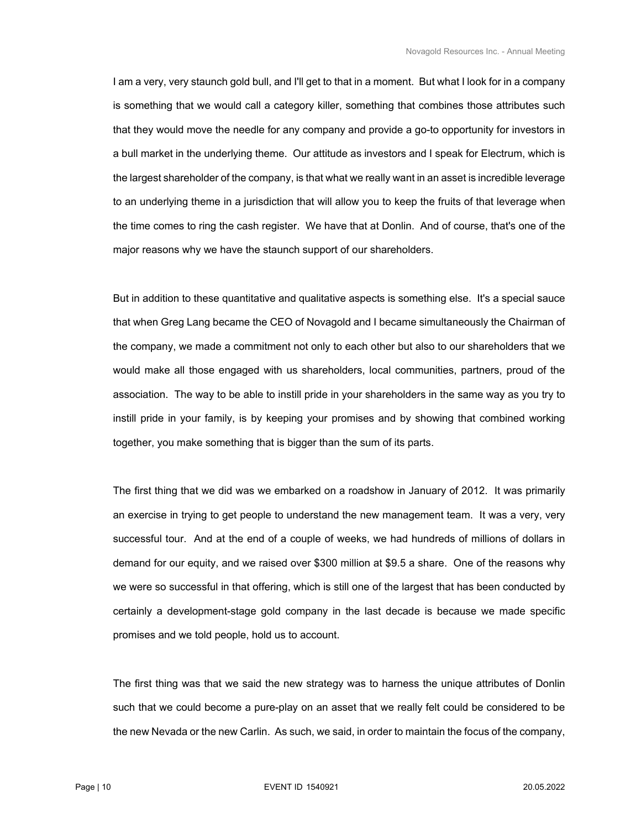I am a very, very staunch gold bull, and I'll get to that in a moment. But what I look for in a company is something that we would call a category killer, something that combines those attributes such that they would move the needle for any company and provide a go-to opportunity for investors in a bull market in the underlying theme. Our attitude as investors and I speak for Electrum, which is the largest shareholder of the company, is that what we really want in an asset is incredible leverage to an underlying theme in a jurisdiction that will allow you to keep the fruits of that leverage when the time comes to ring the cash register. We have that at Donlin. And of course, that's one of the major reasons why we have the staunch support of our shareholders.

 But in addition to these quantitative and qualitative aspects is something else. It's a special sauce that when Greg Lang became the CEO of Novagold and I became simultaneously the Chairman of the company, we made a commitment not only to each other but also to our shareholders that we would make all those engaged with us shareholders, local communities, partners, proud of the association. The way to be able to instill pride in your shareholders in the same way as you try to instill pride in your family, is by keeping your promises and by showing that combined working together, you make something that is bigger than the sum of its parts.

 The first thing that we did was we embarked on a roadshow in January of 2012. It was primarily an exercise in trying to get people to understand the new management team. It was a very, very successful tour. And at the end of a couple of weeks, we had hundreds of millions of dollars in demand for our equity, and we raised over \$300 million at \$9.5 a share. One of the reasons why we were so successful in that offering, which is still one of the largest that has been conducted by certainly a development-stage gold company in the last decade is because we made specific promises and we told people, hold us to account.

 The first thing was that we said the new strategy was to harness the unique attributes of Donlin such that we could become a pure-play on an asset that we really felt could be considered to be the new Nevada or the new Carlin. As such, we said, in order to maintain the focus of the company,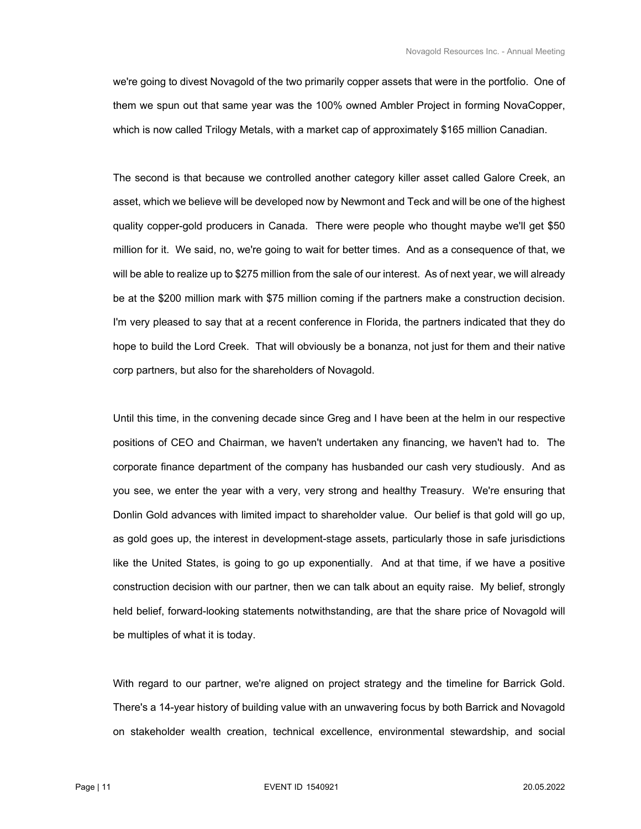we're going to divest Novagold of the two primarily copper assets that were in the portfolio. One of them we spun out that same year was the 100% owned Ambler Project in forming NovaCopper, which is now called Trilogy Metals, with a market cap of approximately \$165 million Canadian.

 The second is that because we controlled another category killer asset called Galore Creek, an asset, which we believe will be developed now by Newmont and Teck and will be one of the highest quality copper-gold producers in Canada. There were people who thought maybe we'll get \$50 million for it. We said, no, we're going to wait for better times. And as a consequence of that, we will be able to realize up to \$275 million from the sale of our interest. As of next year, we will already be at the \$200 million mark with \$75 million coming if the partners make a construction decision. I'm very pleased to say that at a recent conference in Florida, the partners indicated that they do hope to build the Lord Creek. That will obviously be a bonanza, not just for them and their native corp partners, but also for the shareholders of Novagold.

 Until this time, in the convening decade since Greg and I have been at the helm in our respective positions of CEO and Chairman, we haven't undertaken any financing, we haven't had to. The corporate finance department of the company has husbanded our cash very studiously. And as you see, we enter the year with a very, very strong and healthy Treasury. We're ensuring that Donlin Gold advances with limited impact to shareholder value. Our belief is that gold will go up, as gold goes up, the interest in development-stage assets, particularly those in safe jurisdictions like the United States, is going to go up exponentially. And at that time, if we have a positive construction decision with our partner, then we can talk about an equity raise. My belief, strongly held belief, forward-looking statements notwithstanding, are that the share price of Novagold will be multiples of what it is today.

 With regard to our partner, we're aligned on project strategy and the timeline for Barrick Gold. There's a 14-year history of building value with an unwavering focus by both Barrick and Novagold on stakeholder wealth creation, technical excellence, environmental stewardship, and social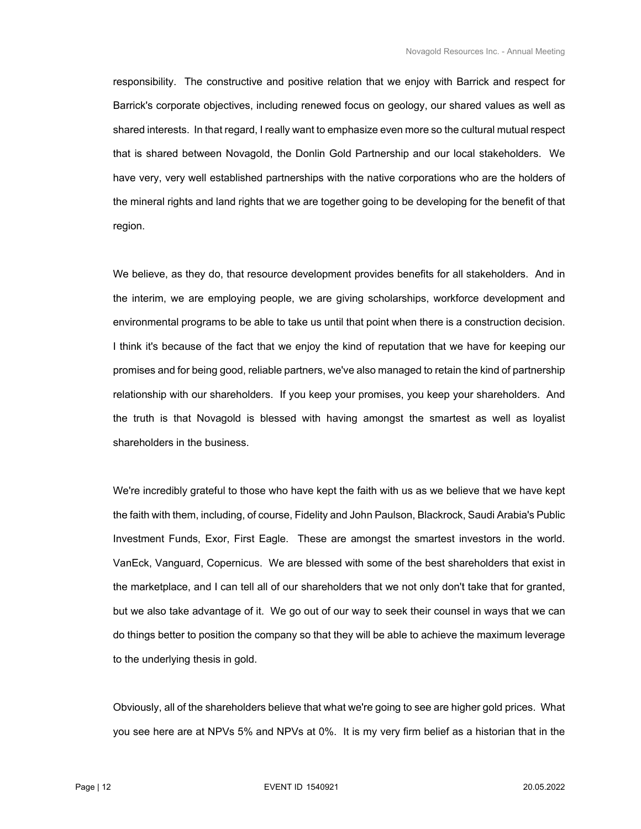responsibility. The constructive and positive relation that we enjoy with Barrick and respect for Barrick's corporate objectives, including renewed focus on geology, our shared values as well as shared interests. In that regard, I really want to emphasize even more so the cultural mutual respect that is shared between Novagold, the Donlin Gold Partnership and our local stakeholders. We have very, very well established partnerships with the native corporations who are the holders of the mineral rights and land rights that we are together going to be developing for the benefit of that region.

 We believe, as they do, that resource development provides benefits for all stakeholders. And in the interim, we are employing people, we are giving scholarships, workforce development and environmental programs to be able to take us until that point when there is a construction decision. I think it's because of the fact that we enjoy the kind of reputation that we have for keeping our promises and for being good, reliable partners, we've also managed to retain the kind of partnership relationship with our shareholders. If you keep your promises, you keep your shareholders. And the truth is that Novagold is blessed with having amongst the smartest as well as loyalist shareholders in the business.

 We're incredibly grateful to those who have kept the faith with us as we believe that we have kept the faith with them, including, of course, Fidelity and John Paulson, Blackrock, Saudi Arabia's Public Investment Funds, Exor, First Eagle. These are amongst the smartest investors in the world. VanEck, Vanguard, Copernicus. We are blessed with some of the best shareholders that exist in the marketplace, and I can tell all of our shareholders that we not only don't take that for granted, but we also take advantage of it. We go out of our way to seek their counsel in ways that we can do things better to position the company so that they will be able to achieve the maximum leverage to the underlying thesis in gold.

 Obviously, all of the shareholders believe that what we're going to see are higher gold prices. What you see here are at NPVs 5% and NPVs at 0%. It is my very firm belief as a historian that in the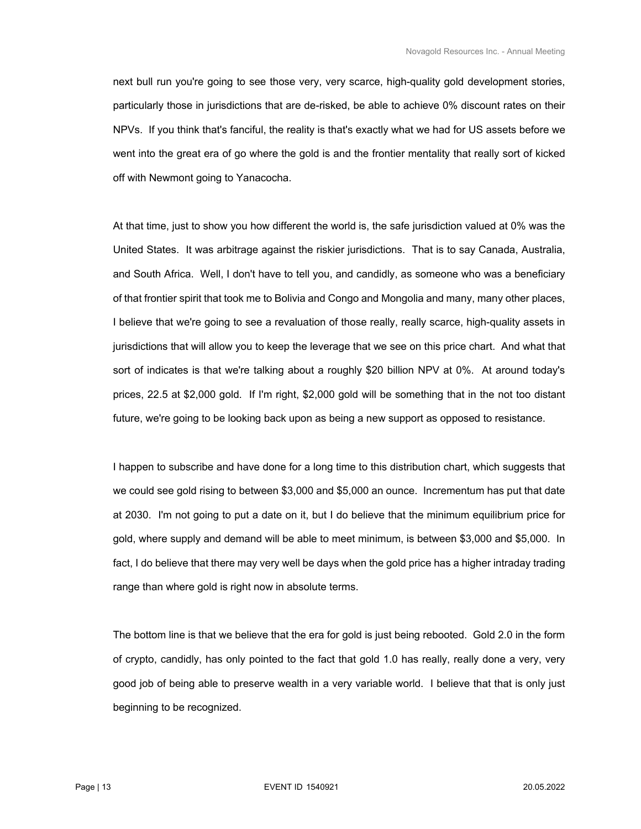next bull run you're going to see those very, very scarce, high-quality gold development stories, particularly those in jurisdictions that are de-risked, be able to achieve 0% discount rates on their NPVs. If you think that's fanciful, the reality is that's exactly what we had for US assets before we went into the great era of go where the gold is and the frontier mentality that really sort of kicked off with Newmont going to Yanacocha.

 At that time, just to show you how different the world is, the safe jurisdiction valued at 0% was the United States. It was arbitrage against the riskier jurisdictions. That is to say Canada, Australia, and South Africa. Well, I don't have to tell you, and candidly, as someone who was a beneficiary of that frontier spirit that took me to Bolivia and Congo and Mongolia and many, many other places, I believe that we're going to see a revaluation of those really, really scarce, high-quality assets in jurisdictions that will allow you to keep the leverage that we see on this price chart. And what that sort of indicates is that we're talking about a roughly \$20 billion NPV at 0%. At around today's prices, 22.5 at \$2,000 gold. If I'm right, \$2,000 gold will be something that in the not too distant future, we're going to be looking back upon as being a new support as opposed to resistance.

 I happen to subscribe and have done for a long time to this distribution chart, which suggests that we could see gold rising to between \$3,000 and \$5,000 an ounce. Incrementum has put that date at 2030. I'm not going to put a date on it, but I do believe that the minimum equilibrium price for gold, where supply and demand will be able to meet minimum, is between \$3,000 and \$5,000. In fact, I do believe that there may very well be days when the gold price has a higher intraday trading range than where gold is right now in absolute terms.

 The bottom line is that we believe that the era for gold is just being rebooted. Gold 2.0 in the form of crypto, candidly, has only pointed to the fact that gold 1.0 has really, really done a very, very good job of being able to preserve wealth in a very variable world. I believe that that is only just beginning to be recognized.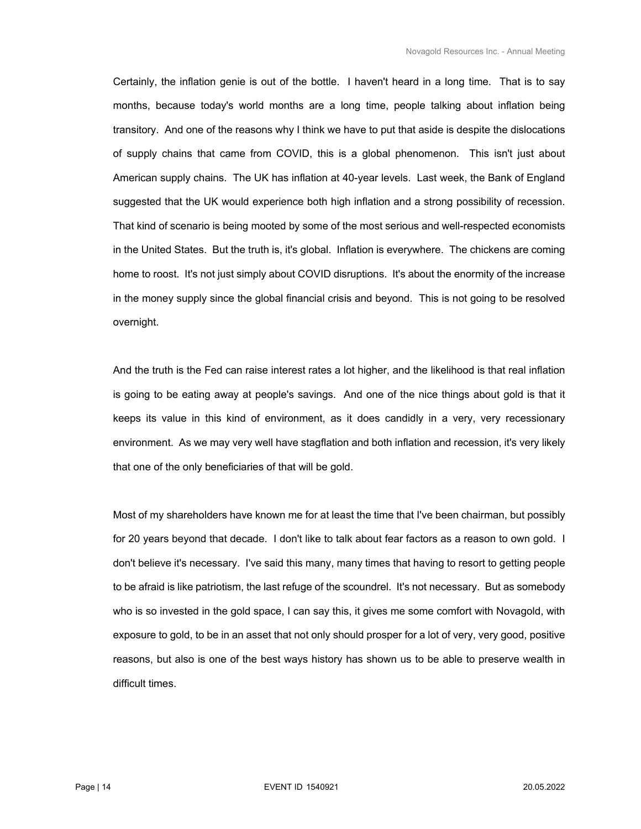Certainly, the inflation genie is out of the bottle. I haven't heard in a long time. That is to say months, because today's world months are a long time, people talking about inflation being transitory. And one of the reasons why I think we have to put that aside is despite the dislocations of supply chains that came from COVID, this is a global phenomenon. This isn't just about American supply chains. The UK has inflation at 40-year levels. Last week, the Bank of England suggested that the UK would experience both high inflation and a strong possibility of recession. That kind of scenario is being mooted by some of the most serious and well-respected economists in the United States. But the truth is, it's global. Inflation is everywhere. The chickens are coming home to roost. It's not just simply about COVID disruptions. It's about the enormity of the increase in the money supply since the global financial crisis and beyond. This is not going to be resolved overnight.

 And the truth is the Fed can raise interest rates a lot higher, and the likelihood is that real inflation is going to be eating away at people's savings. And one of the nice things about gold is that it keeps its value in this kind of environment, as it does candidly in a very, very recessionary environment. As we may very well have stagflation and both inflation and recession, it's very likely that one of the only beneficiaries of that will be gold.

 Most of my shareholders have known me for at least the time that I've been chairman, but possibly for 20 years beyond that decade. I don't like to talk about fear factors as a reason to own gold. I don't believe it's necessary. I've said this many, many times that having to resort to getting people to be afraid is like patriotism, the last refuge of the scoundrel. It's not necessary. But as somebody who is so invested in the gold space, I can say this, it gives me some comfort with Novagold, with exposure to gold, to be in an asset that not only should prosper for a lot of very, very good, positive reasons, but also is one of the best ways history has shown us to be able to preserve wealth in difficult times.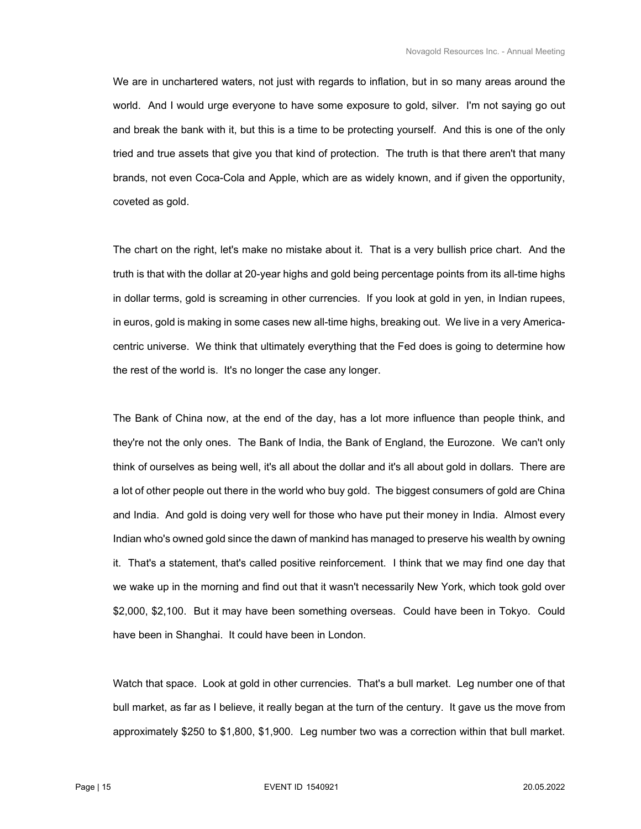We are in unchartered waters, not just with regards to inflation, but in so many areas around the world. And I would urge everyone to have some exposure to gold, silver. I'm not saying go out and break the bank with it, but this is a time to be protecting yourself. And this is one of the only tried and true assets that give you that kind of protection. The truth is that there aren't that many brands, not even Coca-Cola and Apple, which are as widely known, and if given the opportunity, coveted as gold.

 The chart on the right, let's make no mistake about it. That is a very bullish price chart. And the truth is that with the dollar at 20-year highs and gold being percentage points from its all-time highs in dollar terms, gold is screaming in other currencies. If you look at gold in yen, in Indian rupees, in euros, gold is making in some cases new all-time highs, breaking out. We live in a very Americacentric universe. We think that ultimately everything that the Fed does is going to determine how the rest of the world is. It's no longer the case any longer.

 The Bank of China now, at the end of the day, has a lot more influence than people think, and they're not the only ones. The Bank of India, the Bank of England, the Eurozone. We can't only think of ourselves as being well, it's all about the dollar and it's all about gold in dollars. There are a lot of other people out there in the world who buy gold. The biggest consumers of gold are China and India. And gold is doing very well for those who have put their money in India. Almost every Indian who's owned gold since the dawn of mankind has managed to preserve his wealth by owning it. That's a statement, that's called positive reinforcement. I think that we may find one day that we wake up in the morning and find out that it wasn't necessarily New York, which took gold over \$2,000, \$2,100. But it may have been something overseas. Could have been in Tokyo. Could have been in Shanghai. It could have been in London.

 Watch that space. Look at gold in other currencies. That's a bull market. Leg number one of that bull market, as far as I believe, it really began at the turn of the century. It gave us the move from approximately \$250 to \$1,800, \$1,900. Leg number two was a correction within that bull market.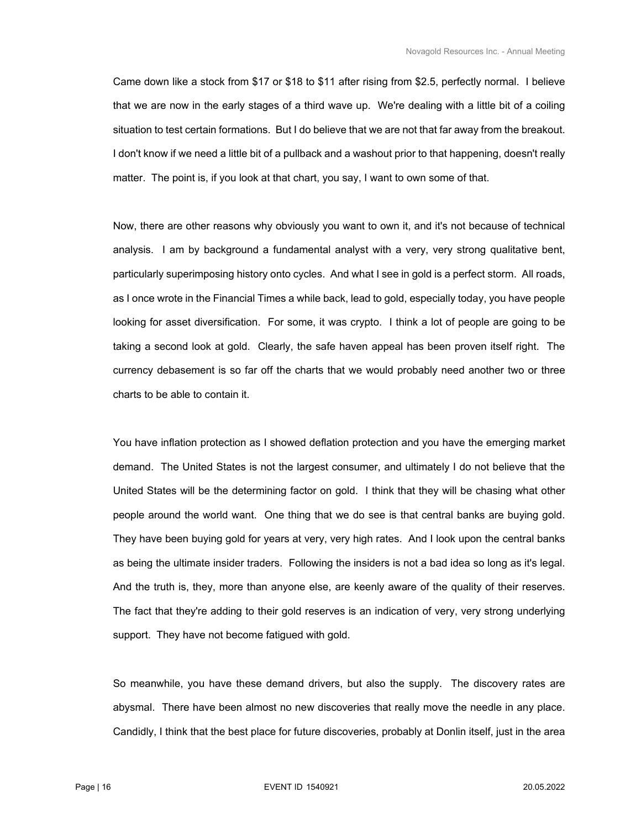Came down like a stock from \$17 or \$18 to \$11 after rising from \$2.5, perfectly normal. I believe that we are now in the early stages of a third wave up. We're dealing with a little bit of a coiling situation to test certain formations. But I do believe that we are not that far away from the breakout. I don't know if we need a little bit of a pullback and a washout prior to that happening, doesn't really matter. The point is, if you look at that chart, you say, I want to own some of that.

 Now, there are other reasons why obviously you want to own it, and it's not because of technical analysis. I am by background a fundamental analyst with a very, very strong qualitative bent, particularly superimposing history onto cycles. And what I see in gold is a perfect storm. All roads, as I once wrote in the Financial Times a while back, lead to gold, especially today, you have people looking for asset diversification. For some, it was crypto. I think a lot of people are going to be taking a second look at gold. Clearly, the safe haven appeal has been proven itself right. The currency debasement is so far off the charts that we would probably need another two or three charts to be able to contain it.

 You have inflation protection as I showed deflation protection and you have the emerging market demand. The United States is not the largest consumer, and ultimately I do not believe that the United States will be the determining factor on gold. I think that they will be chasing what other people around the world want. One thing that we do see is that central banks are buying gold. They have been buying gold for years at very, very high rates. And I look upon the central banks as being the ultimate insider traders. Following the insiders is not a bad idea so long as it's legal. And the truth is, they, more than anyone else, are keenly aware of the quality of their reserves. The fact that they're adding to their gold reserves is an indication of very, very strong underlying support. They have not become fatigued with gold.

 So meanwhile, you have these demand drivers, but also the supply. The discovery rates are abysmal. There have been almost no new discoveries that really move the needle in any place. Candidly, I think that the best place for future discoveries, probably at Donlin itself, just in the area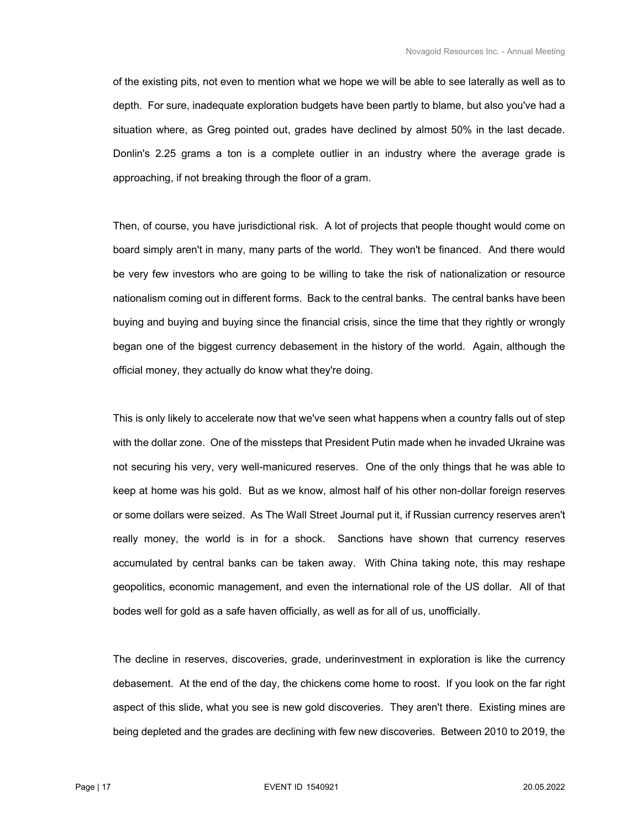of the existing pits, not even to mention what we hope we will be able to see laterally as well as to depth. For sure, inadequate exploration budgets have been partly to blame, but also you've had a situation where, as Greg pointed out, grades have declined by almost 50% in the last decade. Donlin's 2.25 grams a ton is a complete outlier in an industry where the average grade is approaching, if not breaking through the floor of a gram.

 Then, of course, you have jurisdictional risk. A lot of projects that people thought would come on board simply aren't in many, many parts of the world. They won't be financed. And there would be very few investors who are going to be willing to take the risk of nationalization or resource nationalism coming out in different forms. Back to the central banks. The central banks have been buying and buying and buying since the financial crisis, since the time that they rightly or wrongly began one of the biggest currency debasement in the history of the world. Again, although the official money, they actually do know what they're doing.

 This is only likely to accelerate now that we've seen what happens when a country falls out of step with the dollar zone. One of the missteps that President Putin made when he invaded Ukraine was not securing his very, very well-manicured reserves. One of the only things that he was able to keep at home was his gold. But as we know, almost half of his other non-dollar foreign reserves or some dollars were seized. As The Wall Street Journal put it, if Russian currency reserves aren't really money, the world is in for a shock. Sanctions have shown that currency reserves accumulated by central banks can be taken away. With China taking note, this may reshape geopolitics, economic management, and even the international role of the US dollar. All of that bodes well for gold as a safe haven officially, as well as for all of us, unofficially.

 The decline in reserves, discoveries, grade, underinvestment in exploration is like the currency debasement. At the end of the day, the chickens come home to roost. If you look on the far right aspect of this slide, what you see is new gold discoveries. They aren't there. Existing mines are being depleted and the grades are declining with few new discoveries. Between 2010 to 2019, the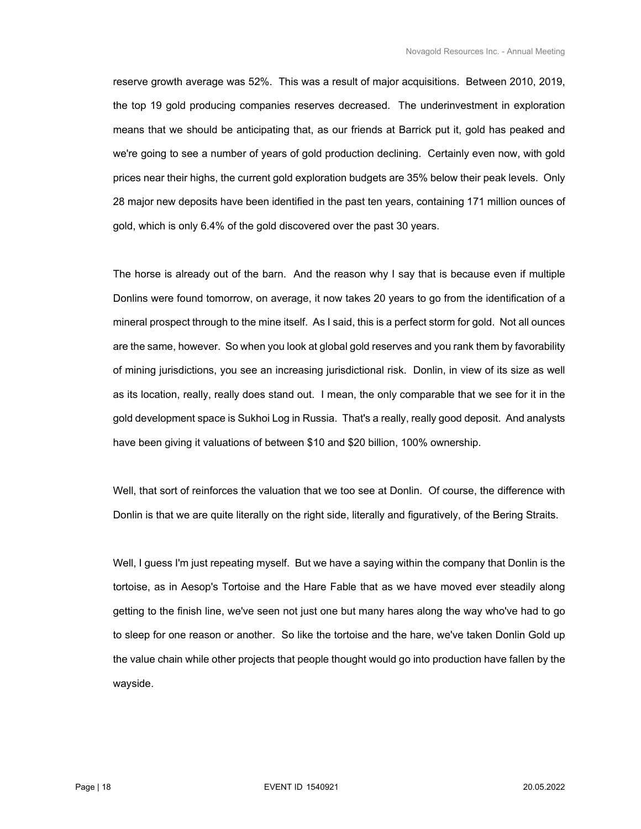reserve growth average was 52%. This was a result of major acquisitions. Between 2010, 2019, the top 19 gold producing companies reserves decreased. The underinvestment in exploration means that we should be anticipating that, as our friends at Barrick put it, gold has peaked and we're going to see a number of years of gold production declining. Certainly even now, with gold prices near their highs, the current gold exploration budgets are 35% below their peak levels. Only 28 major new deposits have been identified in the past ten years, containing 171 million ounces of gold, which is only 6.4% of the gold discovered over the past 30 years.

 The horse is already out of the barn. And the reason why I say that is because even if multiple Donlins were found tomorrow, on average, it now takes 20 years to go from the identification of a mineral prospect through to the mine itself. As I said, this is a perfect storm for gold. Not all ounces are the same, however. So when you look at global gold reserves and you rank them by favorability of mining jurisdictions, you see an increasing jurisdictional risk. Donlin, in view of its size as well as its location, really, really does stand out. I mean, the only comparable that we see for it in the gold development space is Sukhoi Log in Russia. That's a really, really good deposit. And analysts have been giving it valuations of between \$10 and \$20 billion, 100% ownership.

 Well, that sort of reinforces the valuation that we too see at Donlin. Of course, the difference with Donlin is that we are quite literally on the right side, literally and figuratively, of the Bering Straits.

 Well, I guess I'm just repeating myself. But we have a saying within the company that Donlin is the tortoise, as in Aesop's Tortoise and the Hare Fable that as we have moved ever steadily along getting to the finish line, we've seen not just one but many hares along the way who've had to go to sleep for one reason or another. So like the tortoise and the hare, we've taken Donlin Gold up the value chain while other projects that people thought would go into production have fallen by the wayside.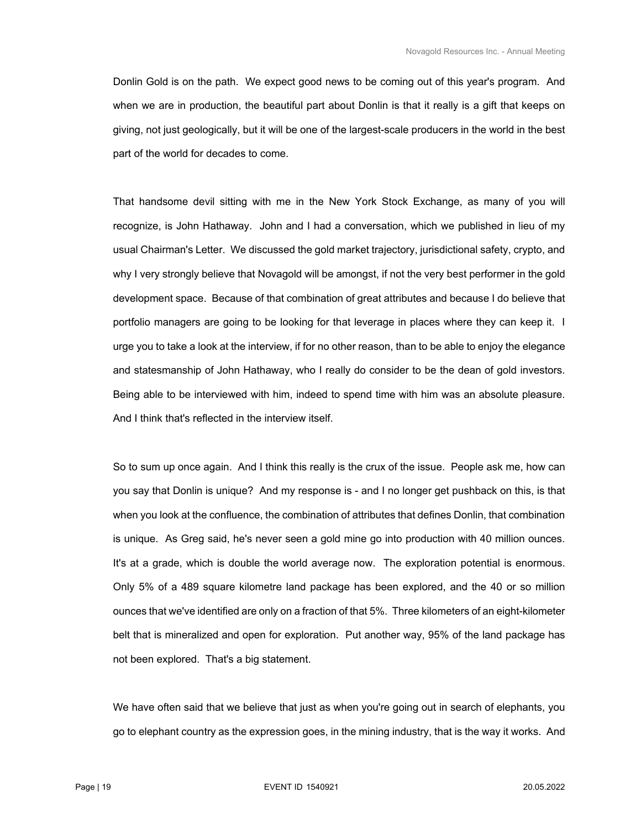Donlin Gold is on the path. We expect good news to be coming out of this year's program. And when we are in production, the beautiful part about Donlin is that it really is a gift that keeps on giving, not just geologically, but it will be one of the largest-scale producers in the world in the best part of the world for decades to come.

 That handsome devil sitting with me in the New York Stock Exchange, as many of you will recognize, is John Hathaway. John and I had a conversation, which we published in lieu of my usual Chairman's Letter. We discussed the gold market trajectory, jurisdictional safety, crypto, and why I very strongly believe that Novagold will be amongst, if not the very best performer in the gold development space. Because of that combination of great attributes and because I do believe that portfolio managers are going to be looking for that leverage in places where they can keep it. I urge you to take a look at the interview, if for no other reason, than to be able to enjoy the elegance and statesmanship of John Hathaway, who I really do consider to be the dean of gold investors. Being able to be interviewed with him, indeed to spend time with him was an absolute pleasure. And I think that's reflected in the interview itself.

 So to sum up once again. And I think this really is the crux of the issue. People ask me, how can you say that Donlin is unique? And my response is - and I no longer get pushback on this, is that when you look at the confluence, the combination of attributes that defines Donlin, that combination is unique. As Greg said, he's never seen a gold mine go into production with 40 million ounces. It's at a grade, which is double the world average now. The exploration potential is enormous. Only 5% of a 489 square kilometre land package has been explored, and the 40 or so million ounces that we've identified are only on a fraction of that 5%. Three kilometers of an eight-kilometer belt that is mineralized and open for exploration. Put another way, 95% of the land package has not been explored. That's a big statement.

 We have often said that we believe that just as when you're going out in search of elephants, you go to elephant country as the expression goes, in the mining industry, that is the way it works. And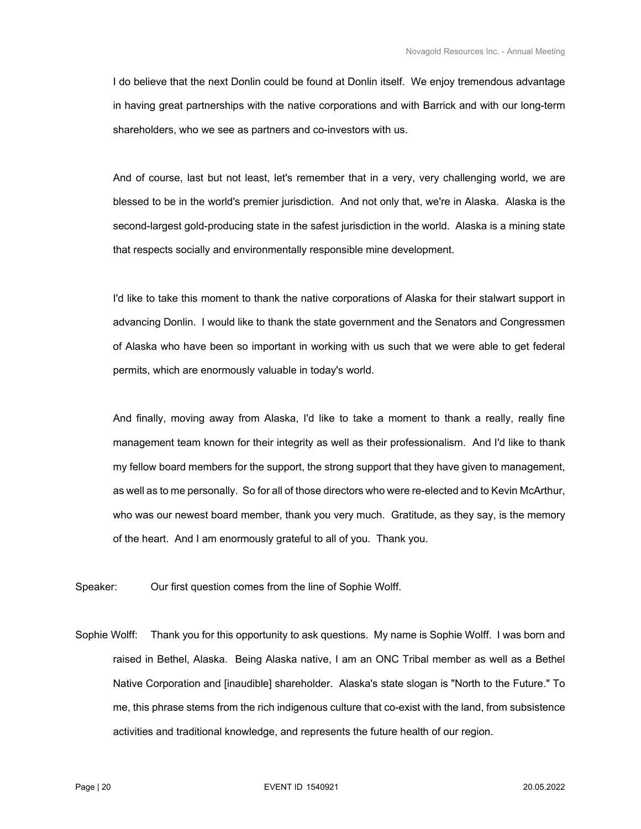I do believe that the next Donlin could be found at Donlin itself. We enjoy tremendous advantage in having great partnerships with the native corporations and with Barrick and with our long-term shareholders, who we see as partners and co-investors with us.

 And of course, last but not least, let's remember that in a very, very challenging world, we are blessed to be in the world's premier jurisdiction. And not only that, we're in Alaska. Alaska is the second-largest gold-producing state in the safest jurisdiction in the world. Alaska is a mining state that respects socially and environmentally responsible mine development.

 I'd like to take this moment to thank the native corporations of Alaska for their stalwart support in advancing Donlin. I would like to thank the state government and the Senators and Congressmen of Alaska who have been so important in working with us such that we were able to get federal permits, which are enormously valuable in today's world.

 And finally, moving away from Alaska, I'd like to take a moment to thank a really, really fine management team known for their integrity as well as their professionalism. And I'd like to thank my fellow board members for the support, the strong support that they have given to management, as well as to me personally. So for all of those directors who were re-elected and to Kevin McArthur, who was our newest board member, thank you very much. Gratitude, as they say, is the memory of the heart. And I am enormously grateful to all of you. Thank you.

Speaker: Our first question comes from the line of Sophie Wolff.

Sophie Wolff: Thank you for this opportunity to ask questions. My name is Sophie Wolff. I was born and raised in Bethel, Alaska. Being Alaska native, I am an ONC Tribal member as well as a Bethel Native Corporation and [inaudible] shareholder. Alaska's state slogan is "North to the Future." To me, this phrase stems from the rich indigenous culture that co-exist with the land, from subsistence activities and traditional knowledge, and represents the future health of our region.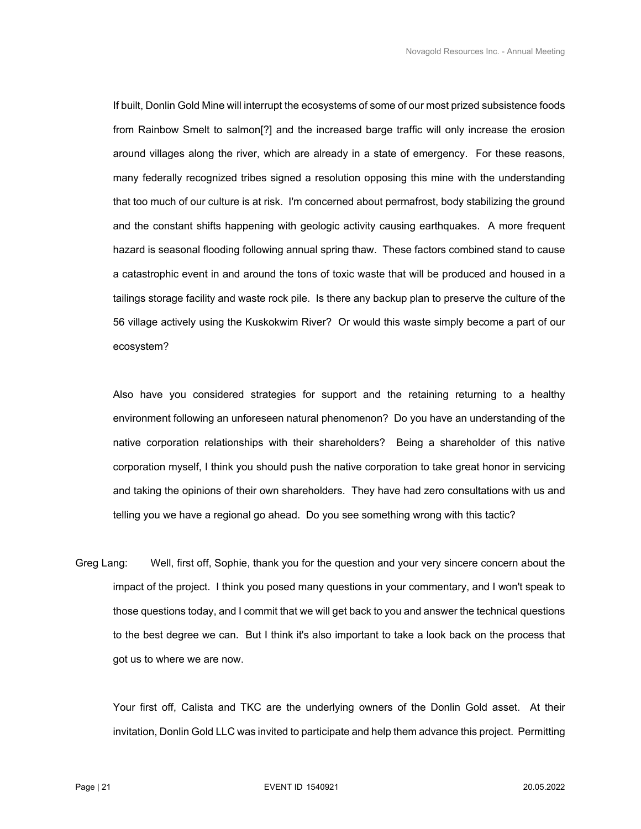If built, Donlin Gold Mine will interrupt the ecosystems of some of our most prized subsistence foods from Rainbow Smelt to salmon[?] and the increased barge traffic will only increase the erosion around villages along the river, which are already in a state of emergency. For these reasons, many federally recognized tribes signed a resolution opposing this mine with the understanding that too much of our culture is at risk. I'm concerned about permafrost, body stabilizing the ground and the constant shifts happening with geologic activity causing earthquakes. A more frequent hazard is seasonal flooding following annual spring thaw. These factors combined stand to cause a catastrophic event in and around the tons of toxic waste that will be produced and housed in a tailings storage facility and waste rock pile. Is there any backup plan to preserve the culture of the 56 village actively using the Kuskokwim River? Or would this waste simply become a part of our ecosystem?

 Also have you considered strategies for support and the retaining returning to a healthy environment following an unforeseen natural phenomenon? Do you have an understanding of the native corporation relationships with their shareholders? Being a shareholder of this native corporation myself, I think you should push the native corporation to take great honor in servicing and taking the opinions of their own shareholders. They have had zero consultations with us and telling you we have a regional go ahead. Do you see something wrong with this tactic?

Greg Lang: Well, first off, Sophie, thank you for the question and your very sincere concern about the impact of the project. I think you posed many questions in your commentary, and I won't speak to those questions today, and I commit that we will get back to you and answer the technical questions to the best degree we can. But I think it's also important to take a look back on the process that got us to where we are now.

 Your first off, Calista and TKC are the underlying owners of the Donlin Gold asset. At their invitation, Donlin Gold LLC was invited to participate and help them advance this project. Permitting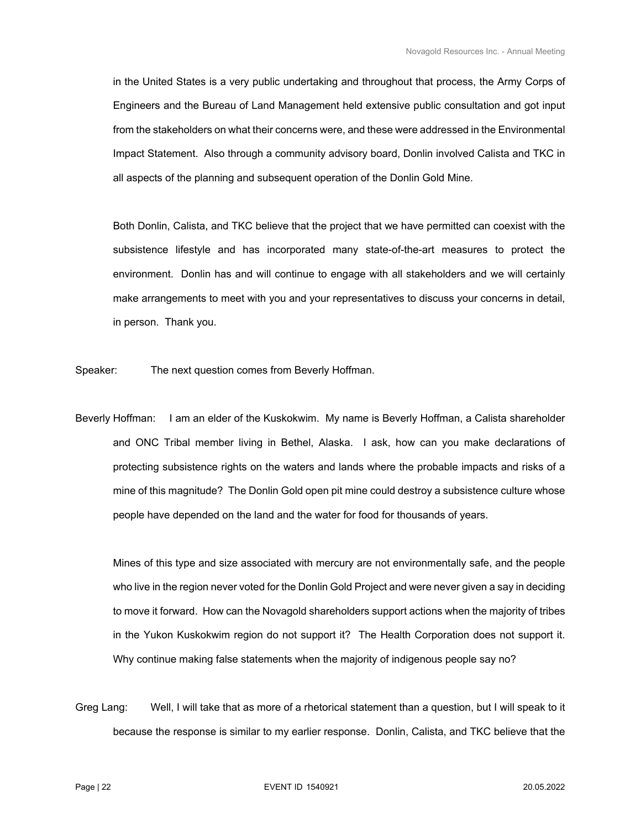in the United States is a very public undertaking and throughout that process, the Army Corps of Engineers and the Bureau of Land Management held extensive public consultation and got input from the stakeholders on what their concerns were, and these were addressed in the Environmental Impact Statement. Also through a community advisory board, Donlin involved Calista and TKC in all aspects of the planning and subsequent operation of the Donlin Gold Mine.

 Both Donlin, Calista, and TKC believe that the project that we have permitted can coexist with the subsistence lifestyle and has incorporated many state-of-the-art measures to protect the environment. Donlin has and will continue to engage with all stakeholders and we will certainly make arrangements to meet with you and your representatives to discuss your concerns in detail, in person. Thank you.

Speaker: The next question comes from Beverly Hoffman.

Beverly Hoffman: I am an elder of the Kuskokwim. My name is Beverly Hoffman, a Calista shareholder and ONC Tribal member living in Bethel, Alaska. I ask, how can you make declarations of protecting subsistence rights on the waters and lands where the probable impacts and risks of a mine of this magnitude? The Donlin Gold open pit mine could destroy a subsistence culture whose people have depended on the land and the water for food for thousands of years.

 Mines of this type and size associated with mercury are not environmentally safe, and the people who live in the region never voted for the Donlin Gold Project and were never given a say in deciding to move it forward. How can the Novagold shareholders support actions when the majority of tribes in the Yukon Kuskokwim region do not support it? The Health Corporation does not support it. Why continue making false statements when the majority of indigenous people say no?

Greg Lang: Well, I will take that as more of a rhetorical statement than a question, but I will speak to it because the response is similar to my earlier response. Donlin, Calista, and TKC believe that the